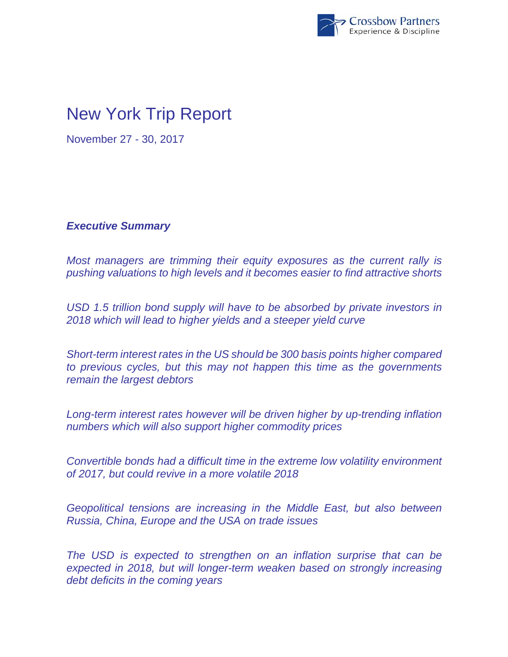

# New York Trip Report

November 27 - 30, 2017

*Executive Summary* 

*Most managers are trimming their equity exposures as the current rally is pushing valuations to high levels and it becomes easier to find attractive shorts* 

*USD 1.5 trillion bond supply will have to be absorbed by private investors in 2018 which will lead to higher yields and a steeper yield curve* 

*Short-term interest rates in the US should be 300 basis points higher compared to previous cycles, but this may not happen this time as the governments remain the largest debtors* 

*Long-term interest rates however will be driven higher by up-trending inflation numbers which will also support higher commodity prices* 

*Convertible bonds had a difficult time in the extreme low volatility environment of 2017, but could revive in a more volatile 2018* 

*Geopolitical tensions are increasing in the Middle East, but also between Russia, China, Europe and the USA on trade issues* 

*The USD is expected to strengthen on an inflation surprise that can be expected in 2018, but will longer-term weaken based on strongly increasing debt deficits in the coming years*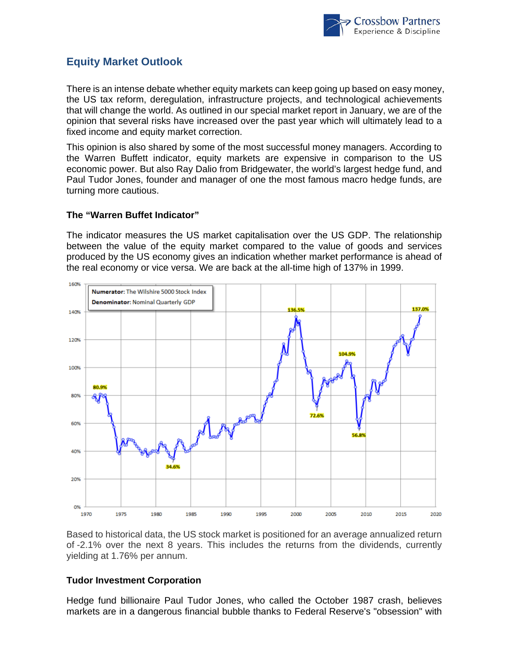

## **Equity Market Outlook**

There is an intense debate whether equity markets can keep going up based on easy money, the US tax reform, deregulation, infrastructure projects, and technological achievements that will change the world. As outlined in our special market report in January, we are of the opinion that several risks have increased over the past year which will ultimately lead to a fixed income and equity market correction.

This opinion is also shared by some of the most successful money managers. According to the Warren Buffett indicator, equity markets are expensive in comparison to the US economic power. But also Ray Dalio from Bridgewater, the world's largest hedge fund, and Paul Tudor Jones, founder and manager of one the most famous macro hedge funds, are turning more cautious.

### **The "Warren Buffet Indicator"**

The indicator measures the US market capitalisation over the US GDP. The relationship between the value of the equity market compared to the value of goods and services produced by the US economy gives an indication whether market performance is ahead of the real economy or vice versa. We are back at the all-time high of 137% in 1999.



Based to historical data, the US stock market is positioned for an average annualized return of -2.1% over the next 8 years. This includes the returns from the dividends, currently yielding at 1.76% per annum.

#### **Tudor Investment Corporation**

Hedge fund billionaire Paul Tudor Jones, who called the October 1987 crash, believes markets are in a dangerous financial bubble thanks to Federal Reserve's "obsession" with